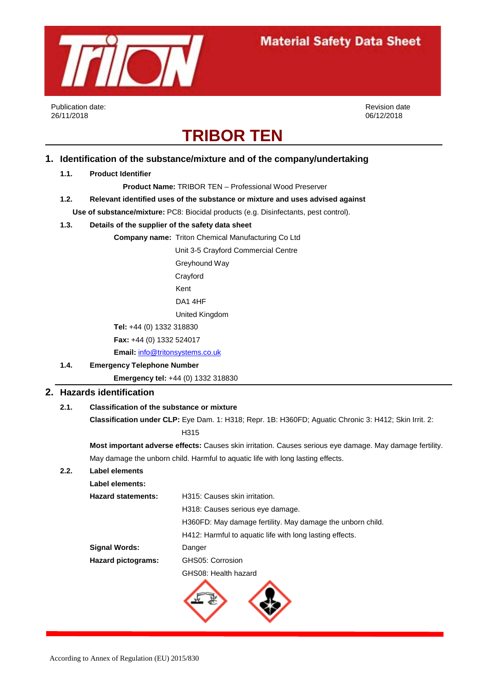

Publication date: 26/11/2018

Revision date 06/12/2018

# **TRIBOR TEN**

## **1. Identification of the substance/mixture and of the company/undertaking**

#### **1.1. Product Identifier**

**Product Name:** TRIBOR TEN – Professional Wood Preserver

**1.2. Relevant identified uses of the substance or mixture and uses advised against Use of substance/mixture:** PC8: Biocidal products (e.g. Disinfectants, pest control).

## **1.3. Details of the supplier of the safety data sheet**

## **Company name:** Triton Chemical Manufacturing Co Ltd

Unit 3-5 Crayford Commercial Centre **Greyhound Way**  Crayford Kent DA1 4HF United Kingdom **Tel:** +44 (0) 1332 318830

 **Fax:** +44 (0) 1332 524017

 **Email:** [info@tritonsystems.co.uk](mailto:info@tritonsystems.co.uk)

## **1.4. Emergency Telephone Number**

 **Emergency tel:** +44 (0) 1332 318830

## **2. Hazards identification**

## **2.1. Classification of the substance or mixture**

**Classification under CLP:** Eye Dam. 1: H318; Repr. 1B: H360FD; Aguatic Chronic 3: H412; Skin Irrit. 2:

H315

**Most important adverse effects:** Causes skin irritation. Causes serious eye damage. May damage fertility. May damage the unborn child. Harmful to aquatic life with long lasting effects.

## **2.2. Label elements**

| Label elements:           |                                                            |  |  |
|---------------------------|------------------------------------------------------------|--|--|
| <b>Hazard statements:</b> | H315: Causes skin irritation.                              |  |  |
|                           | H318: Causes serious eye damage.                           |  |  |
|                           | H360FD: May damage fertility. May damage the unborn child. |  |  |
|                           | H412: Harmful to aquatic life with long lasting effects.   |  |  |
| <b>Signal Words:</b>      | Danger                                                     |  |  |
| <b>Hazard pictograms:</b> | GHS05: Corrosion                                           |  |  |
|                           | GHS08: Health hazard                                       |  |  |
|                           |                                                            |  |  |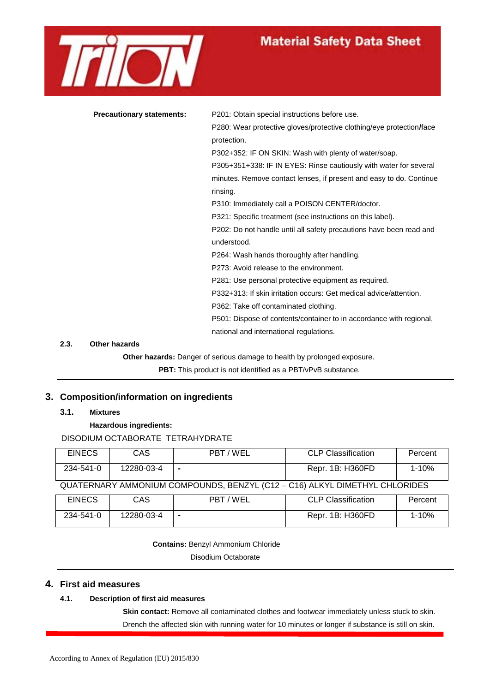

| <b>Precautionary statements:</b> | P201: Obtain special instructions before use.                        |  |  |
|----------------------------------|----------------------------------------------------------------------|--|--|
|                                  | P280: Wear protective gloves/protective clothing/eye protection/face |  |  |
|                                  | protection.                                                          |  |  |
|                                  | P302+352: IF ON SKIN: Wash with plenty of water/soap.                |  |  |
|                                  | P305+351+338: IF IN EYES: Rinse cautiously with water for several    |  |  |
|                                  | minutes. Remove contact lenses, if present and easy to do. Continue  |  |  |
|                                  | rinsing.                                                             |  |  |
|                                  | P310: Immediately call a POISON CENTER/doctor.                       |  |  |
|                                  | P321: Specific treatment (see instructions on this label).           |  |  |
|                                  | P202: Do not handle until all safety precautions have been read and  |  |  |
|                                  | understood.                                                          |  |  |
|                                  | P264: Wash hands thoroughly after handling.                          |  |  |
|                                  | P273: Avoid release to the environment.                              |  |  |
|                                  |                                                                      |  |  |

P281: Use personal protective equipment as required.

P332+313: If skin irritation occurs: Get medical advice/attention.

P362: Take off contaminated clothing.

P501: Dispose of contents/container to in accordance with regional, national and international regulations.

#### **2.3. Other hazards**

**Other hazards:** Danger of serious damage to health by prolonged exposure.

**PBT:** This product is not identified as a PBT/vPvB substance.

## **3. Composition/information on ingredients**

**3.1. Mixtures**

**Hazardous ingredients:**

## DISODIUM OCTABORATE TETRAHYDRATE

| <b>EINECS</b>                                                              | CAS        | PBT / WEL | <b>CLP Classification</b> | Percent   |
|----------------------------------------------------------------------------|------------|-----------|---------------------------|-----------|
| 234-541-0                                                                  | 12280-03-4 |           | Repr. 1B: H360FD          | $1 - 10%$ |
| QUATERNARY AMMONIUM COMPOUNDS, BENZYL (C12 - C16) ALKYL DIMETHYL CHLORIDES |            |           |                           |           |

| <b>EINECS</b> | CAS        | PBT / WEL | <b>CLP Classification</b> | Percent |
|---------------|------------|-----------|---------------------------|---------|
| 234-541-0     | 12280-03-4 |           | Repr. 1B: H360FD          | 1-10%   |

**Contains:** Benzyl Ammonium Chloride

Disodium Octaborate

#### **4. First aid measures**

#### **4.1. Description of first aid measures**

**Skin contact:** Remove all contaminated clothes and footwear immediately unless stuck to skin. Drench the affected skin with running water for 10 minutes or longer if substance is still on skin.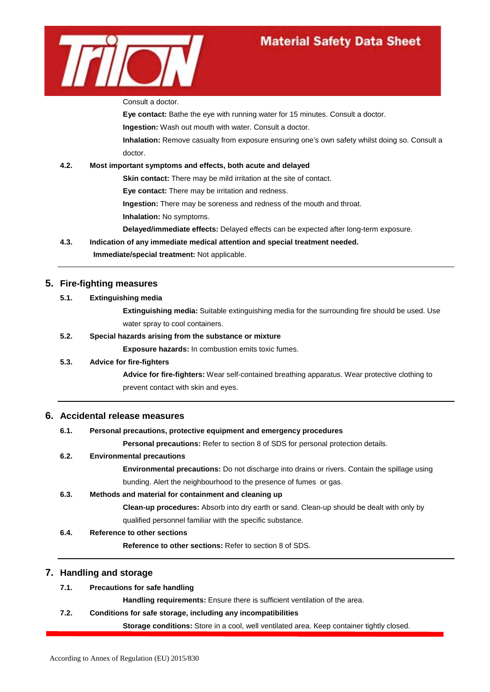

Consult a doctor.

**Eye contact:** Bathe the eye with running water for 15 minutes. Consult a doctor.

**Ingestion:** Wash out mouth with water. Consult a doctor.

**Inhalation:** Remove casualty from exposure ensuring one's own safety whilst doing so. Consult a doctor.

## **4.2. Most important symptoms and effects, both acute and delayed**

**Skin contact:** There may be mild irritation at the site of contact.

**Eye contact:** There may be irritation and redness.

**Ingestion:** There may be soreness and redness of the mouth and throat.

**Inhalation:** No symptoms.

**Delayed/immediate effects:** Delayed effects can be expected after long-term exposure.

**4.3. Indication of any immediate medical attention and special treatment needed.**

## **Immediate/special treatment:** Not applicable.

## **5. Fire-fighting measures**

#### **5.1. Extinguishing media**

**Extinguishing media:** Suitable extinguishing media for the surrounding fire should be used. Use water spray to cool containers.

## **5.2. Special hazards arising from the substance or mixture**

**Exposure hazards:** In combustion emits toxic fumes.

## **5.3. Advice for fire-fighters**

**Advice for fire-fighters:** Wear self-contained breathing apparatus. Wear protective clothing to prevent contact with skin and eyes.

## **6. Accidental release measures**

## **6.1. Personal precautions, protective equipment and emergency procedures**

**Personal precautions:** Refer to section 8 of SDS for personal protection details.

## **6.2. Environmental precautions**

**Environmental precautions:** Do not discharge into drains or rivers. Contain the spillage using bunding. Alert the neighbourhood to the presence of fumes or gas.

## **6.3. Methods and material for containment and cleaning up**

**Clean-up procedures:** Absorb into dry earth or sand. Clean-up should be dealt with only by qualified personnel familiar with the specific substance.

## **6.4. Reference to other sections**

**Reference to other sections:** Refer to section 8 of SDS.

## **7. Handling and storage**

## **7.1. Precautions for safe handling**

**Handling requirements:** Ensure there is sufficient ventilation of the area.

## **7.2. Conditions for safe storage, including any incompatibilities**

**Storage conditions:** Store in a cool, well ventilated area. Keep container tightly closed.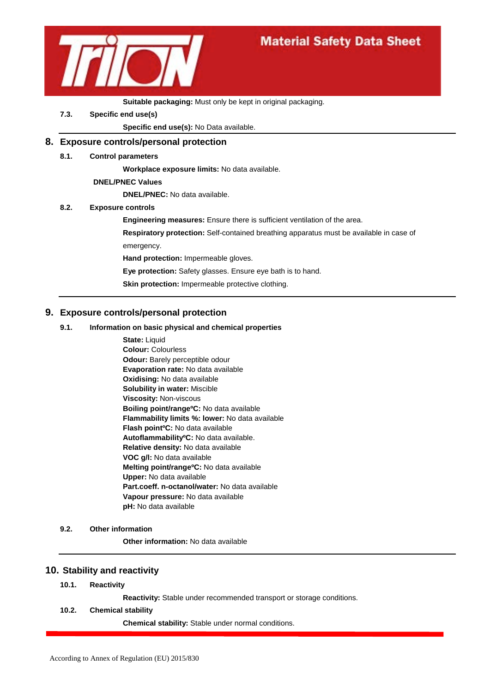

#### **Suitable packaging:** Must only be kept in original packaging.

**7.3. Specific end use(s)**

**Specific end use(s):** No Data available.

## **8. Exposure controls/personal protection**

**8.1. Control parameters**

**Workplace exposure limits:** No data available.

#### **DNEL/PNEC Values**

**DNEL/PNEC:** No data available.

#### **8.2. Exposure controls**

- **Engineering measures:** Ensure there is sufficient ventilation of the area.
- **Respiratory protection:** Self-contained breathing apparatus must be available in case of emergency.
- **Hand protection:** Impermeable gloves.
- **Eye protection:** Safety glasses. Ensure eye bath is to hand.
- **Skin protection:** Impermeable protective clothing.

#### **9. Exposure controls/personal protection**

#### **9.1. Information on basic physical and chemical properties**

**State:** Liquid **Colour:** Colourless **Odour:** Barely perceptible odour **Evaporation rate:** No data available **Oxidising:** No data available **Solubility in water:** Miscible **Viscosity:** Non-viscous **Boiling point/rangeºC:** No data available **Flammability limits %: lower:** No data available **Flash pointºC:** No data available **AutoflammabilityºC:** No data available. **Relative density:** No data available **VOC g/l:** No data available **Melting point/rangeºC:** No data available **Upper:** No data available **Part.coeff. n-octanol/water:** No data available **Vapour pressure:** No data available **pH:** No data available

#### **9.2. Other information**

**Other information:** No data available

#### **10. Stability and reactivity**

**10.1. Reactivity**

**Reactivity:** Stable under recommended transport or storage conditions.

#### **10.2. Chemical stability**

**Chemical stability:** Stable under normal conditions.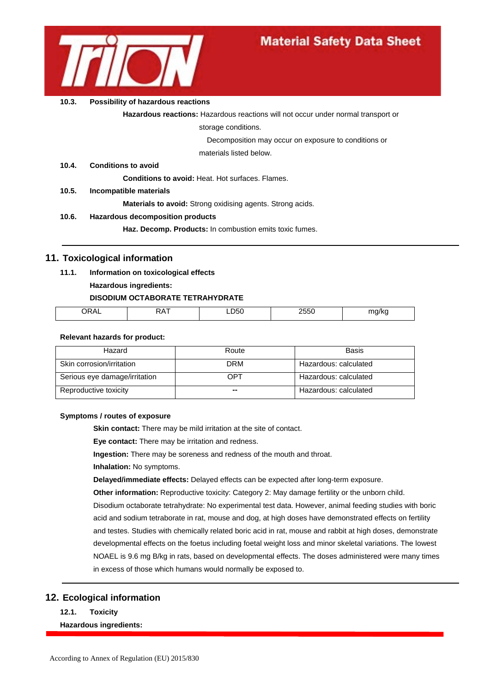

#### **10.3. Possibility of hazardous reactions**

**Hazardous reactions:** Hazardous reactions will not occur under normal transport or

storage conditions.

Decomposition may occur on exposure to conditions or

materials listed below.

#### **10.4. Conditions to avoid**

**Conditions to avoid:** Heat. Hot surfaces. Flames.

**10.5. Incompatible materials**

**Materials to avoid:** Strong oxidising agents. Strong acids.

#### **10.6. Hazardous decomposition products**

**Haz. Decomp. Products:** In combustion emits toxic fumes.

## **11. Toxicological information**

## **11.1. Information on toxicological effects**

**Hazardous ingredients:**

#### **DISODIUM OCTABORATE TETRAHYDRATE**

| 11<br>∽ | --<br>. . | - -<br>___ | . . |
|---------|-----------|------------|-----|
|         |           |            |     |
|         |           |            |     |

#### **Relevant hazards for product:**

| Hazard                        | Route      | Basis                 |
|-------------------------------|------------|-----------------------|
| Skin corrosion/irritation     | <b>DRM</b> | Hazardous: calculated |
| Serious eye damage/irritation | OPT        | Hazardous: calculated |
| Reproductive toxicity         | --         | Hazardous: calculated |

#### **Symptoms / routes of exposure**

**Skin contact:** There may be mild irritation at the site of contact.

**Eye contact:** There may be irritation and redness.

**Ingestion:** There may be soreness and redness of the mouth and throat.

**Inhalation:** No symptoms.

**Delayed/immediate effects:** Delayed effects can be expected after long-term exposure.

**Other information:** Reproductive toxicity: Category 2: May damage fertility or the unborn child.

Disodium octaborate tetrahydrate: No experimental test data. However, animal feeding studies with boric acid and sodium tetraborate in rat, mouse and dog, at high doses have demonstrated effects on fertility and testes. Studies with chemically related boric acid in rat, mouse and rabbit at high doses, demonstrate developmental effects on the foetus including foetal weight loss and minor skeletal variations. The lowest NOAEL is 9.6 mg B/kg in rats, based on developmental effects. The doses administered were many times in excess of those which humans would normally be exposed to.

## **12. Ecological information**

**12.1. Toxicity**

#### **Hazardous ingredients:**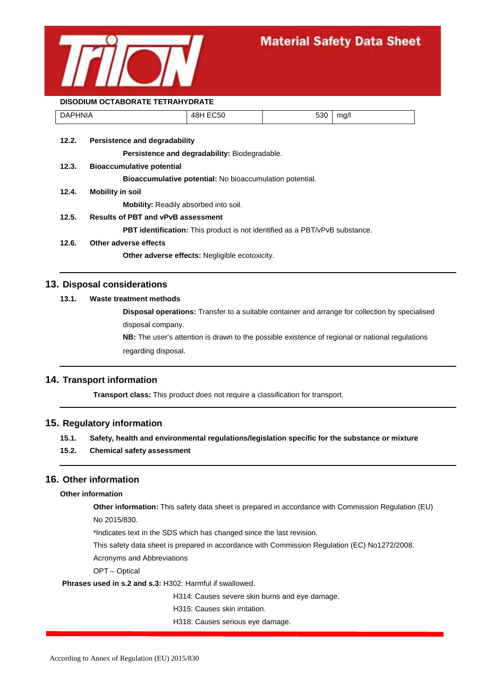

#### **DISODIUM OCTABORATE TETRAHYDRATE**

| <b>DAPHNIA</b> | <b>EC50</b><br>18 I<br>וט+ | rnn<br>ჂᲙႱ | ma/l |
|----------------|----------------------------|------------|------|
|                |                            |            |      |

**12.2. Persistence and degradability**

**Persistence and degradability:** Biodegradable.

**12.3. Bioaccumulative potential**

**Bioaccumulative potential:** No bioaccumulation potential.

**12.4. Mobility in soil**

**Mobility:** Readily absorbed into soil.

**12.5. Results of PBT and vPvB assessment**

**PBT identification:** This product is not identified as a PBT/vPvB substance.

**12.6. Other adverse effects**

**Other adverse effects:** Negligible ecotoxicity.

## **13. Disposal considerations**

## **13.1. Waste treatment methods**

**Disposal operations:** Transfer to a suitable container and arrange for collection by specialised disposal company.

**NB:** The user's attention is drawn to the possible existence of regional or national regulations regarding disposal.

## **14. Transport information**

**Transport class:** This product does not require a classification for transport.

## **15. Regulatory information**

#### **15.1. Safety, health and environmental regulations/legislation specific for the substance or mixture**

**15.2. Chemical safety assessment**

## **16. Other information**

#### **Other information**

**Other information:** This safety data sheet is prepared in accordance with Commission Regulation (EU) No 2015/830.

\*Indicates text in the SDS which has changed since the last revision.

This safety data sheet is prepared in accordance with Commission Regulation (EC) No1272/2008.

Acronyms and Abbreviations

OPT – Optical

**Phrases used in s.2 and s.3:** H302: Harmful if swallowed.

H314: Causes severe skin burns and eye damage.

H315: Causes skin irritation.

H318: Causes serious eye damage.